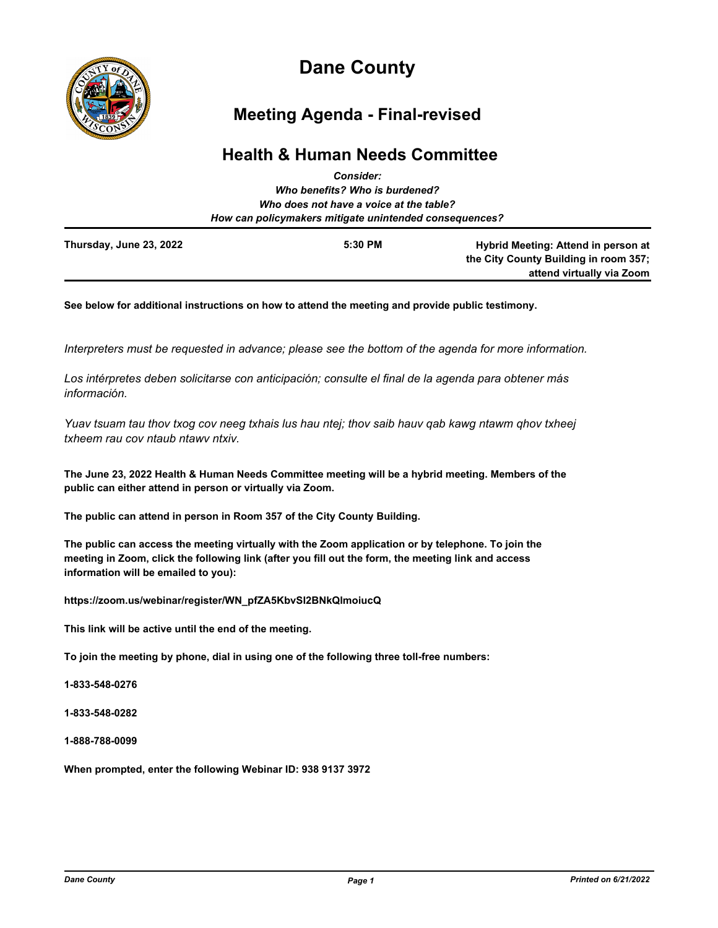

# **Dane County**

## **Meeting Agenda - Final-revised**

## **Health & Human Needs Committee**

| Who benefits? Who is burdened?<br>Who does not have a voice at the table?<br>How can policymakers mitigate unintended consequences? |  |                           |  |  |  |  |                         |         |                                       |
|-------------------------------------------------------------------------------------------------------------------------------------|--|---------------------------|--|--|--|--|-------------------------|---------|---------------------------------------|
|                                                                                                                                     |  |                           |  |  |  |  | Thursday, June 23, 2022 | 5:30 PM | Hybrid Meeting: Attend in person at   |
|                                                                                                                                     |  |                           |  |  |  |  |                         |         | the City County Building in room 357; |
|                                                                                                                                     |  | attend virtually via Zoom |  |  |  |  |                         |         |                                       |

**See below for additional instructions on how to attend the meeting and provide public testimony.**

*Interpreters must be requested in advance; please see the bottom of the agenda for more information.*

*Los intérpretes deben solicitarse con anticipación; consulte el final de la agenda para obtener más información.*

*Yuav tsuam tau thov txog cov neeg txhais lus hau ntej; thov saib hauv qab kawg ntawm qhov txheej txheem rau cov ntaub ntawv ntxiv.*

**The June 23, 2022 Health & Human Needs Committee meeting will be a hybrid meeting. Members of the public can either attend in person or virtually via Zoom.**

**The public can attend in person in Room 357 of the City County Building.**

**The public can access the meeting virtually with the Zoom application or by telephone. To join the meeting in Zoom, click the following link (after you fill out the form, the meeting link and access information will be emailed to you):**

**https://zoom.us/webinar/register/WN\_pfZA5KbvSI2BNkQlmoiucQ**

**This link will be active until the end of the meeting.**

**To join the meeting by phone, dial in using one of the following three toll-free numbers:**

**1-833-548-0276**

**1-833-548-0282**

**1-888-788-0099**

**When prompted, enter the following Webinar ID: 938 9137 3972**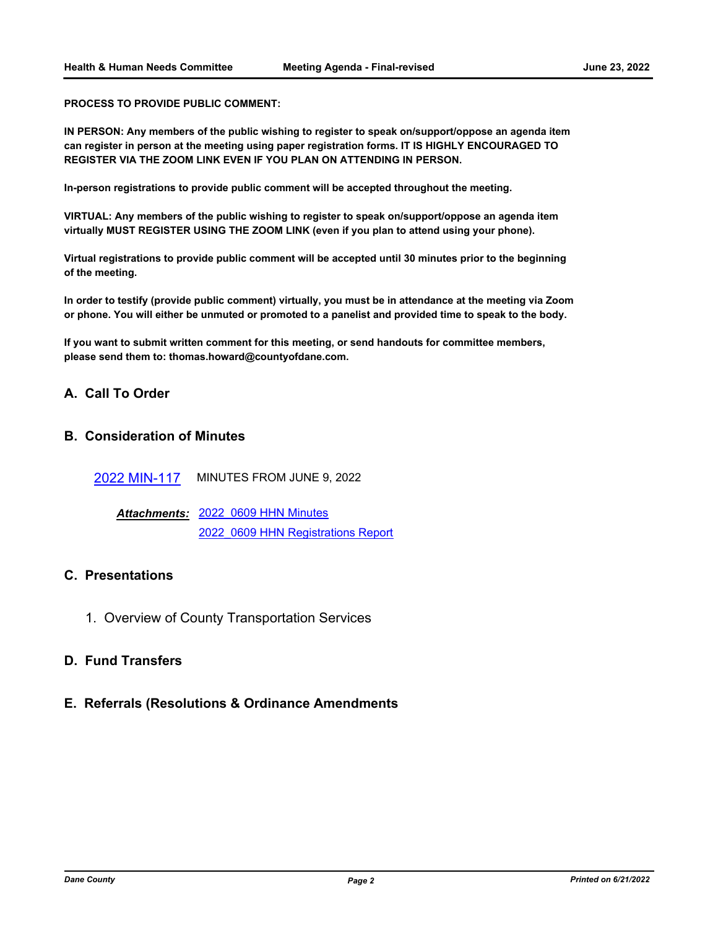**PROCESS TO PROVIDE PUBLIC COMMENT:**

**IN PERSON: Any members of the public wishing to register to speak on/support/oppose an agenda item can register in person at the meeting using paper registration forms. IT IS HIGHLY ENCOURAGED TO REGISTER VIA THE ZOOM LINK EVEN IF YOU PLAN ON ATTENDING IN PERSON.**

**In-person registrations to provide public comment will be accepted throughout the meeting.**

**VIRTUAL: Any members of the public wishing to register to speak on/support/oppose an agenda item virtually MUST REGISTER USING THE ZOOM LINK (even if you plan to attend using your phone).**

**Virtual registrations to provide public comment will be accepted until 30 minutes prior to the beginning of the meeting.** 

**In order to testify (provide public comment) virtually, you must be in attendance at the meeting via Zoom or phone. You will either be unmuted or promoted to a panelist and provided time to speak to the body.**

**If you want to submit written comment for this meeting, or send handouts for committee members, please send them to: thomas.howard@countyofdane.com.**

#### **A. Call To Order**

#### **B. Consideration of Minutes**

[2022 MIN-117](http://dane.legistar.com/gateway.aspx?m=l&id=/matter.aspx?key=23093) MINUTES FROM JUNE 9, 2022

[2022\\_0609 HHN Minutes](http://dane.legistar.com/gateway.aspx?M=F&ID=78a76560-fc96-478d-bce3-ad3480a08f0c.pdf) *Attachments:* 2022 0609 HHN Registrations Report

### **C. Presentations**

1. Overview of County Transportation Services

#### **D. Fund Transfers**

#### **E. Referrals (Resolutions & Ordinance Amendments**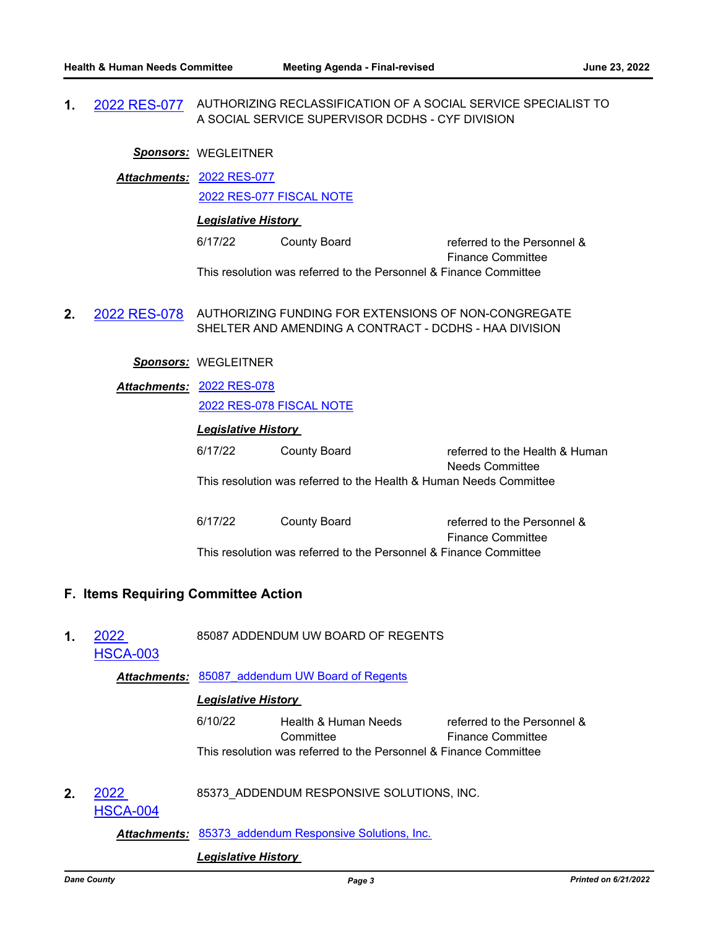**1.** [2022 RES-077](http://dane.legistar.com/gateway.aspx?m=l&id=/matter.aspx?key=23082) AUTHORIZING RECLASSIFICATION OF A SOCIAL SERVICE SPECIALIST TO A SOCIAL SERVICE SUPERVISOR DCDHS - CYF DIVISION

#### *Sponsors:* WEGLEITNER

[2022 RES-077](http://dane.legistar.com/gateway.aspx?M=F&ID=a9a00081-e9d2-4c7e-9908-f7bef80db84f.pdf) *Attachments:* [2022 RES-077 FISCAL NOTE](http://dane.legistar.com/gateway.aspx?M=F&ID=584d467c-9e67-48c7-afd8-ac9b833d43a6.pdf)

#### *Legislative History*

6/17/22 County Board referred to the Personnel & Finance Committee This resolution was referred to the Personnel & Finance Committee

**2.** [2022 RES-078](http://dane.legistar.com/gateway.aspx?m=l&id=/matter.aspx?key=23083) AUTHORIZING FUNDING FOR EXTENSIONS OF NON-CONGREGATE SHELTER AND AMENDING A CONTRACT - DCDHS - HAA DIVISION

#### *Sponsors:* WEGLEITNER

[2022 RES-078](http://dane.legistar.com/gateway.aspx?M=F&ID=dec02399-b48d-4b5f-8702-edae9c8977c4.pdf) *Attachments:* [2022 RES-078 FISCAL NOTE](http://dane.legistar.com/gateway.aspx?M=F&ID=3751ca1e-9611-4cc5-9ee6-674894366b3e.pdf)

| <b>Legislative History</b> |              |                                                                    |  |  |  |  |  |
|----------------------------|--------------|--------------------------------------------------------------------|--|--|--|--|--|
| 6/17/22                    | County Board | referred to the Health & Human<br>Needs Committee                  |  |  |  |  |  |
|                            |              | This resolution was referred to the Health & Human Needs Committee |  |  |  |  |  |
| $\sim$ $\sim$ $\sim$       |              |                                                                    |  |  |  |  |  |

6/17/22 County Board referred to the Personnel & Finance Committee This resolution was referred to the Personnel & Finance Committee

#### **F. Items Requiring Committee Action**

**1.** 2022 85087 ADDENDUM UW BOARD OF REGENTS

[HSCA-003](http://dane.legistar.com/gateway.aspx?m=l&id=/matter.aspx?key=23068)

Attachments: 85087 addendum UW Board of Regents

#### *Legislative History*

6/10/22 Health & Human Needs **Committee** referred to the Personnel & Finance Committee This resolution was referred to the Personnel & Finance Committee

**2.** 2022 85373\_ADDENDUM RESPONSIVE SOLUTIONS, INC.

[HSCA-004](http://dane.legistar.com/gateway.aspx?m=l&id=/matter.aspx?key=23077)

Attachments: 85373 addendum Responsive Solutions, Inc.

#### *Legislative History*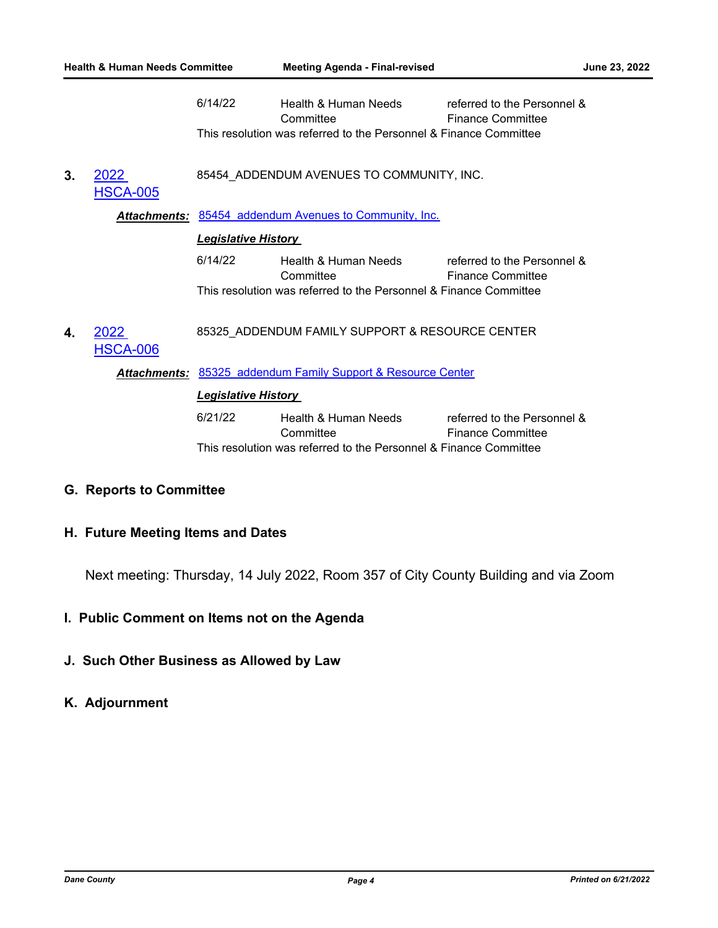| <b>Health &amp; Human Needs Committee</b> |                         |                                                                                            | <b>Meeting Agenda - Final-revised</b>                                                                  |                                                         | June 23, 2022 |  |  |
|-------------------------------------------|-------------------------|--------------------------------------------------------------------------------------------|--------------------------------------------------------------------------------------------------------|---------------------------------------------------------|---------------|--|--|
|                                           |                         | 6/14/22                                                                                    | Health & Human Needs<br>Committee<br>This resolution was referred to the Personnel & Finance Committee | referred to the Personnel &<br><b>Finance Committee</b> |               |  |  |
| 3.                                        | 2022<br><b>HSCA-005</b> | 85454_ADDENDUM AVENUES TO COMMUNITY, INC.                                                  |                                                                                                        |                                                         |               |  |  |
|                                           |                         | <b>Attachments: 85454 addendum Avenues to Community, Inc.</b>                              |                                                                                                        |                                                         |               |  |  |
|                                           |                         | <b>Legislative History</b>                                                                 |                                                                                                        |                                                         |               |  |  |
|                                           |                         | 6/14/22                                                                                    | Health & Human Needs<br>Committee<br>This resolution was referred to the Personnel & Finance Committee | referred to the Personnel &<br><b>Finance Committee</b> |               |  |  |
| 4.                                        | 2022<br><b>HSCA-006</b> | 85325_ADDENDUM FAMILY SUPPORT & RESOURCE CENTER                                            |                                                                                                        |                                                         |               |  |  |
|                                           |                         | Attachments: 85325 addendum Family Support & Resource Center<br><b>Legislative History</b> |                                                                                                        |                                                         |               |  |  |
|                                           |                         |                                                                                            |                                                                                                        |                                                         |               |  |  |
|                                           |                         | 6/21/22                                                                                    | Health & Human Needs<br>Committee<br>This resolution was referred to the Personnel & Finance Committee | referred to the Personnel &<br><b>Finance Committee</b> |               |  |  |
|                                           |                         |                                                                                            |                                                                                                        |                                                         |               |  |  |

## **G. Reports to Committee**

## **H. Future Meeting Items and Dates**

Next meeting: Thursday, 14 July 2022, Room 357 of City County Building and via Zoom

## **I. Public Comment on Items not on the Agenda**

## **J. Such Other Business as Allowed by Law**

## **K. Adjournment**